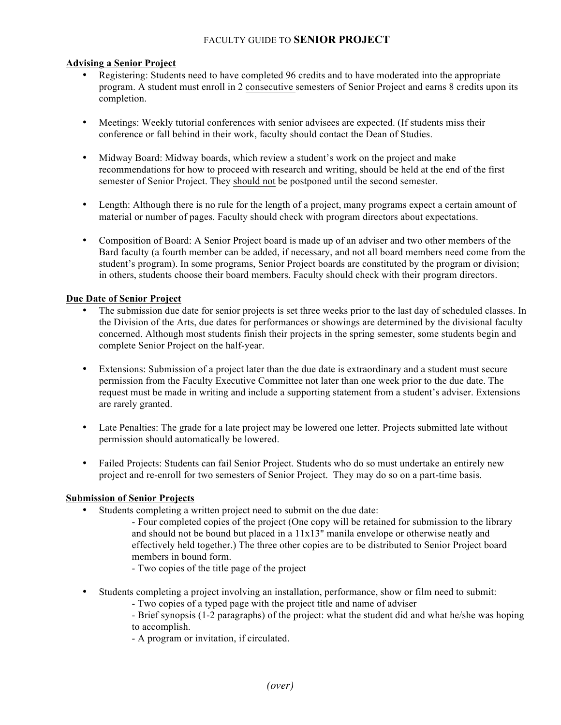# FACULTY GUIDE TO **SENIOR PROJECT**

### **Advising a Senior Project**

- Registering: Students need to have completed 96 credits and to have moderated into the appropriate program. A student must enroll in 2 consecutive semesters of Senior Project and earns 8 credits upon its completion.
- Meetings: Weekly tutorial conferences with senior advisees are expected. (If students miss their conference or fall behind in their work, faculty should contact the Dean of Studies.
- Midway Board: Midway boards, which review a student's work on the project and make recommendations for how to proceed with research and writing, should be held at the end of the first semester of Senior Project. They should not be postponed until the second semester.
- Length: Although there is no rule for the length of a project, many programs expect a certain amount of material or number of pages. Faculty should check with program directors about expectations.
- Composition of Board: A Senior Project board is made up of an adviser and two other members of the Bard faculty (a fourth member can be added, if necessary, and not all board members need come from the student's program). In some programs, Senior Project boards are constituted by the program or division; in others, students choose their board members. Faculty should check with their program directors.

### **Due Date of Senior Project**

- The submission due date for senior projects is set three weeks prior to the last day of scheduled classes. In the Division of the Arts, due dates for performances or showings are determined by the divisional faculty concerned. Although most students finish their projects in the spring semester, some students begin and complete Senior Project on the half-year.
- Extensions: Submission of a project later than the due date is extraordinary and a student must secure permission from the Faculty Executive Committee not later than one week prior to the due date. The request must be made in writing and include a supporting statement from a student's adviser. Extensions are rarely granted.
- Late Penalties: The grade for a late project may be lowered one letter. Projects submitted late without permission should automatically be lowered.
- Failed Projects: Students can fail Senior Project. Students who do so must undertake an entirely new project and re-enroll for two semesters of Senior Project. They may do so on a part-time basis.

## **Submission of Senior Projects**

- Students completing a written project need to submit on the due date:
	- Four completed copies of the project (One copy will be retained for submission to the library and should not be bound but placed in a  $11x13$ " manila envelope or otherwise neatly and effectively held together.) The three other copies are to be distributed to Senior Project board members in bound form.
		- Two copies of the title page of the project
- Students completing a project involving an installation, performance, show or film need to submit:
	- Two copies of a typed page with the project title and name of adviser
	- Brief synopsis (1-2 paragraphs) of the project: what the student did and what he/she was hoping to accomplish.
	- A program or invitation, if circulated.